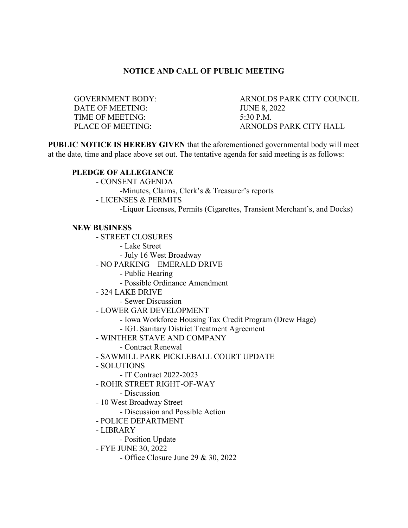## **NOTICE AND CALL OF PUBLIC MEETING**

DATE OF MEETING: JUNE 8, 2022 TIME OF MEETING: 5:30 P.M.

GOVERNMENT BODY: ARNOLDS PARK CITY COUNCIL PLACE OF MEETING: ARNOLDS PARK CITY HALL

**PUBLIC NOTICE IS HEREBY GIVEN** that the aforementioned governmental body will meet at the date, time and place above set out. The tentative agenda for said meeting is as follows:

### **PLEDGE OF ALLEGIANCE**

- CONSENT AGENDA

-Minutes, Claims, Clerk's & Treasurer's reports

- LICENSES & PERMITS

-Liquor Licenses, Permits (Cigarettes, Transient Merchant's, and Docks)

#### **NEW BUSINESS**

- STREET CLOSURES

- Lake Street

- July 16 West Broadway

- NO PARKING – EMERALD DRIVE

- Public Hearing

- Possible Ordinance Amendment

- 324 LAKE DRIVE

- Sewer Discussion

- LOWER GAR DEVELOPMENT

- Iowa Workforce Housing Tax Credit Program (Drew Hage)

- IGL Sanitary District Treatment Agreement

- WINTHER STAVE AND COMPANY

- Contract Renewal

- SAWMILL PARK PICKLEBALL COURT UPDATE

- SOLUTIONS

- IT Contract 2022-2023

- ROHR STREET RIGHT-OF-WAY

- Discussion

- 10 West Broadway Street

- Discussion and Possible Action

- POLICE DEPARTMENT

- LIBRARY

- Position Update

- FYE JUNE 30, 2022

- Office Closure June 29 & 30, 2022